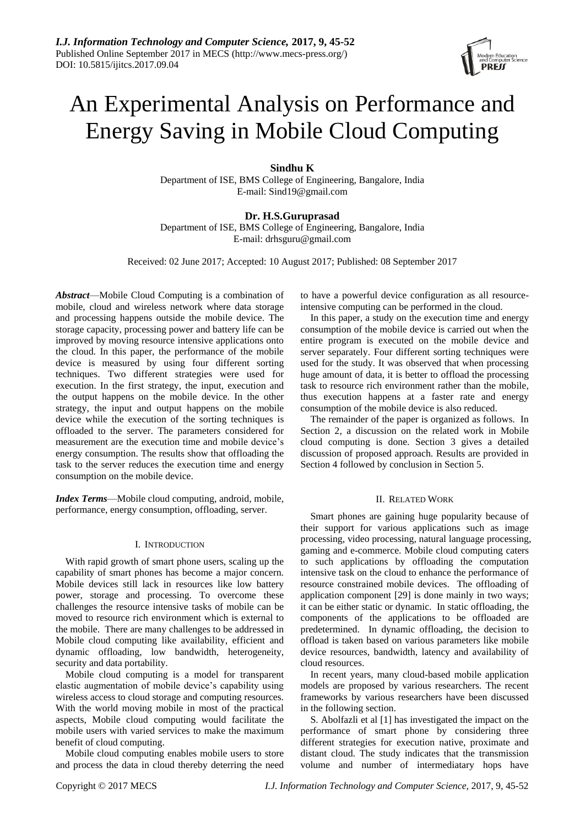# An Experimental Analysis on Performance and Energy Saving in Mobile Cloud Computing

## **Sindhu K**

Department of ISE, BMS College of Engineering, Bangalore, India E-mail: Sind19@gmail.com

## **Dr. H.S.Guruprasad** Department of ISE, BMS College of Engineering, Bangalore, India E-mail: drhsguru@gmail.com

Received: 02 June 2017; Accepted: 10 August 2017; Published: 08 September 2017

*Abstract*—Mobile Cloud Computing is a combination of mobile, cloud and wireless network where data storage and processing happens outside the mobile device. The storage capacity, processing power and battery life can be improved by moving resource intensive applications onto the cloud. In this paper, the performance of the mobile device is measured by using four different sorting techniques. Two different strategies were used for execution. In the first strategy, the input, execution and the output happens on the mobile device. In the other strategy, the input and output happens on the mobile device while the execution of the sorting techniques is offloaded to the server. The parameters considered for measurement are the execution time and mobile device's energy consumption. The results show that offloading the task to the server reduces the execution time and energy consumption on the mobile device.

*Index Terms*—Mobile cloud computing, android, mobile, performance, energy consumption, offloading, server.

## I. INTRODUCTION

With rapid growth of smart phone users, scaling up the capability of smart phones has become a major concern. Mobile devices still lack in resources like low battery power, storage and processing. To overcome these challenges the resource intensive tasks of mobile can be moved to resource rich environment which is external to the mobile. There are many challenges to be addressed in Mobile cloud computing like availability, efficient and dynamic offloading, low bandwidth, heterogeneity, security and data portability.

Mobile cloud computing is a model for transparent elastic augmentation of mobile device's capability using wireless access to cloud storage and computing resources. With the world moving mobile in most of the practical aspects, Mobile cloud computing would facilitate the mobile users with varied services to make the maximum benefit of cloud computing.

Mobile cloud computing enables mobile users to store and process the data in cloud thereby deterring the need to have a powerful device configuration as all resourceintensive computing can be performed in the cloud.

In this paper, a study on the execution time and energy consumption of the mobile device is carried out when the entire program is executed on the mobile device and server separately. Four different sorting techniques were used for the study. It was observed that when processing huge amount of data, it is better to offload the processing task to resource rich environment rather than the mobile, thus execution happens at a faster rate and energy consumption of the mobile device is also reduced.

The remainder of the paper is organized as follows. In Section 2, a discussion on the related work in Mobile cloud computing is done. Section 3 gives a detailed discussion of proposed approach. Results are provided in Section 4 followed by conclusion in Section 5.

## II. RELATED WORK

Smart phones are gaining huge popularity because of their support for various applications such as image processing, video processing, natural language processing, gaming and e-commerce. Mobile cloud computing caters to such applications by offloading the computation intensive task on the cloud to enhance the performance of resource constrained mobile devices. The offloading of application component [29] is done mainly in two ways; it can be either static or dynamic. In static offloading, the components of the applications to be offloaded are predetermined. In dynamic offloading, the decision to offload is taken based on various parameters like mobile device resources, bandwidth, latency and availability of cloud resources.

In recent years, many cloud-based mobile application models are proposed by various researchers. The recent frameworks by various researchers have been discussed in the following section.

S. Abolfazli et al [1] has investigated the impact on the performance of smart phone by considering three different strategies for execution native, proximate and distant cloud. The study indicates that the transmission volume and number of intermediatary hops have

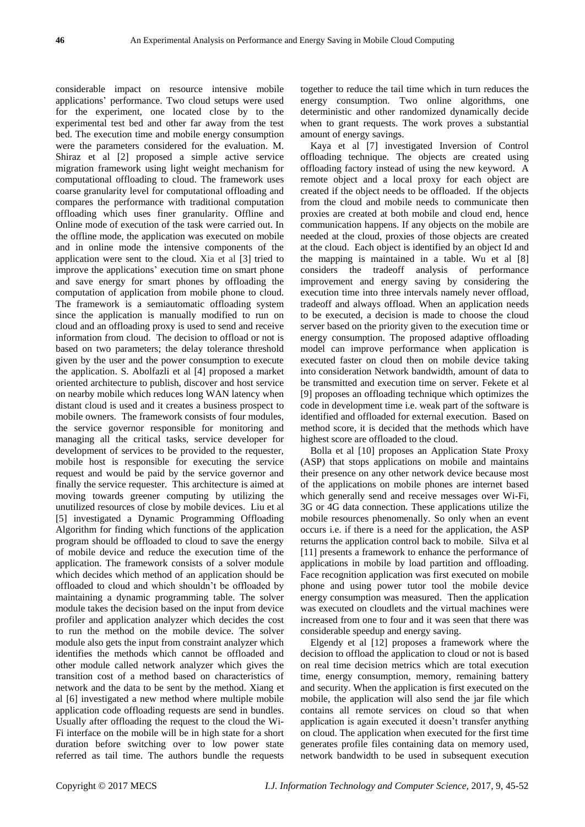considerable impact on resource intensive mobile applications' performance. Two cloud setups were used for the experiment, one located close by to the experimental test bed and other far away from the test bed. The execution time and mobile energy consumption were the parameters considered for the evaluation. M. Shiraz et al [2] proposed a simple active service migration framework using light weight mechanism for computational offloading to cloud. The framework uses coarse granularity level for computational offloading and compares the performance with traditional computation offloading which uses finer granularity. Offline and Online mode of execution of the task were carried out. In the offline mode, the application was executed on mobile and in online mode the intensive components of the application were sent to the cloud. Xia et al [3] tried to improve the applications' execution time on smart phone and save energy for smart phones by offloading the computation of application from mobile phone to cloud. The framework is a semiautomatic offloading system since the application is manually modified to run on cloud and an offloading proxy is used to send and receive information from cloud. The decision to offload or not is based on two parameters; the delay tolerance threshold given by the user and the power consumption to execute the application. S. Abolfazli et al [4] proposed a market oriented architecture to publish, discover and host service on nearby mobile which reduces long WAN latency when distant cloud is used and it creates a business prospect to mobile owners. The framework consists of four modules, the service governor responsible for monitoring and managing all the critical tasks, service developer for development of services to be provided to the requester, mobile host is responsible for executing the service request and would be paid by the service governor and finally the service requester. This architecture is aimed at moving towards greener computing by utilizing the unutilized resources of close by mobile devices. Liu et al [5] investigated a Dynamic Programming Offloading Algorithm for finding which functions of the application program should be offloaded to cloud to save the energy of mobile device and reduce the execution time of the application. The framework consists of a solver module which decides which method of an application should be offloaded to cloud and which shouldn't be offloaded by maintaining a dynamic programming table. The solver module takes the decision based on the input from device profiler and application analyzer which decides the cost to run the method on the mobile device. The solver module also gets the input from constraint analyzer which identifies the methods which cannot be offloaded and other module called network analyzer which gives the transition cost of a method based on characteristics of network and the data to be sent by the method. Xiang et al [6] investigated a new method where multiple mobile application code offloading requests are send in bundles. Usually after offloading the request to the cloud the Wi-Fi interface on the mobile will be in high state for a short duration before switching over to low power state referred as tail time. The authors bundle the requests

together to reduce the tail time which in turn reduces the energy consumption. Two online algorithms, one deterministic and other randomized dynamically decide when to grant requests. The work proves a substantial amount of energy savings.

Kaya et al [7] investigated Inversion of Control offloading technique. The objects are created using offloading factory instead of using the new keyword. A remote object and a local proxy for each object are created if the object needs to be offloaded. If the objects from the cloud and mobile needs to communicate then proxies are created at both mobile and cloud end, hence communication happens. If any objects on the mobile are needed at the cloud, proxies of those objects are created at the cloud. Each object is identified by an object Id and the mapping is maintained in a table. Wu et al [8] considers the tradeoff analysis of performance improvement and energy saving by considering the execution time into three intervals namely never offload, tradeoff and always offload. When an application needs to be executed, a decision is made to choose the cloud server based on the priority given to the execution time or energy consumption. The proposed adaptive offloading model can improve performance when application is executed faster on cloud then on mobile device taking into consideration Network bandwidth, amount of data to be transmitted and execution time on server. Fekete et al [9] proposes an offloading technique which optimizes the code in development time i.e. weak part of the software is identified and offloaded for external execution. Based on method score, it is decided that the methods which have highest score are offloaded to the cloud.

Bolla et al [10] proposes an Application State Proxy (ASP) that stops applications on mobile and maintains their presence on any other network device because most of the applications on mobile phones are internet based which generally send and receive messages over Wi-Fi, 3G or 4G data connection. These applications utilize the mobile resources phenomenally. So only when an event occurs i.e. if there is a need for the application, the ASP returns the application control back to mobile. Silva et al [11] presents a framework to enhance the performance of applications in mobile by load partition and offloading. Face recognition application was first executed on mobile phone and using power tutor tool the mobile device energy consumption was measured. Then the application was executed on cloudlets and the virtual machines were increased from one to four and it was seen that there was considerable speedup and energy saving.

Elgendy et al [12] proposes a framework where the decision to offload the application to cloud or not is based on real time decision metrics which are total execution time, energy consumption, memory, remaining battery and security. When the application is first executed on the mobile, the application will also send the jar file which contains all remote services on cloud so that when application is again executed it doesn't transfer anything on cloud. The application when executed for the first time generates profile files containing data on memory used, network bandwidth to be used in subsequent execution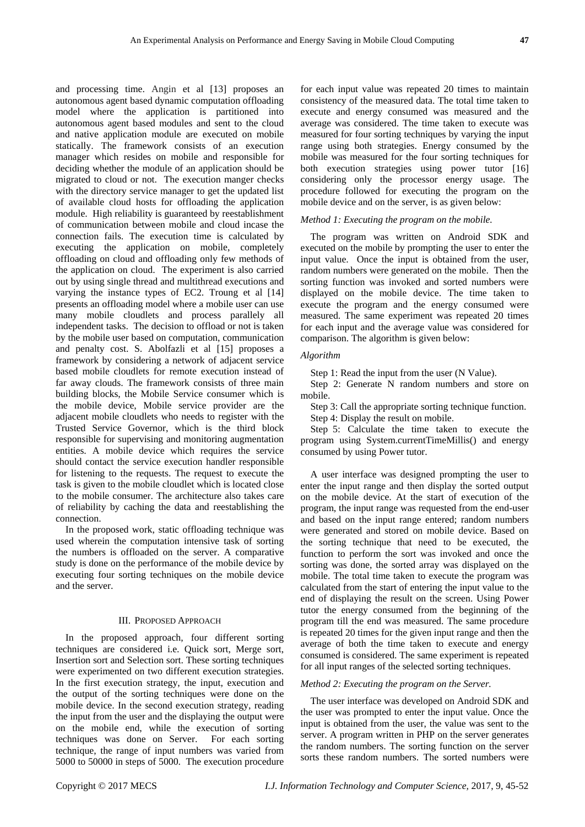and processing time. Angin et al [13] proposes an autonomous agent based dynamic computation offloading model where the application is partitioned into autonomous agent based modules and sent to the cloud and native application module are executed on mobile statically. The framework consists of an execution manager which resides on mobile and responsible for deciding whether the module of an application should be migrated to cloud or not. The execution manger checks with the directory service manager to get the updated list of available cloud hosts for offloading the application module. High reliability is guaranteed by reestablishment of communication between mobile and cloud incase the connection fails. The execution time is calculated by executing the application on mobile, completely offloading on cloud and offloading only few methods of the application on cloud. The experiment is also carried out by using single thread and multithread executions and varying the instance types of EC2. Troung et al [14] presents an offloading model where a mobile user can use many mobile cloudlets and process parallely all independent tasks. The decision to offload or not is taken by the mobile user based on computation, communication and penalty cost. S. Abolfazli et al [15] proposes a framework by considering a network of adjacent service based mobile cloudlets for remote execution instead of far away clouds. The framework consists of three main building blocks, the Mobile Service consumer which is the mobile device, Mobile service provider are the adjacent mobile cloudlets who needs to register with the Trusted Service Governor, which is the third block responsible for supervising and monitoring augmentation entities. A mobile device which requires the service should contact the service execution handler responsible for listening to the requests. The request to execute the task is given to the mobile cloudlet which is located close to the mobile consumer. The architecture also takes care of reliability by caching the data and reestablishing the connection.

In the proposed work, static offloading technique was used wherein the computation intensive task of sorting the numbers is offloaded on the server. A comparative study is done on the performance of the mobile device by executing four sorting techniques on the mobile device and the server.

# III. PROPOSED APPROACH

In the proposed approach, four different sorting techniques are considered i.e. Quick sort, Merge sort, Insertion sort and Selection sort. These sorting techniques were experimented on two different execution strategies. In the first execution strategy, the input, execution and the output of the sorting techniques were done on the mobile device. In the second execution strategy, reading the input from the user and the displaying the output were on the mobile end, while the execution of sorting techniques was done on Server. For each sorting technique, the range of input numbers was varied from 5000 to 50000 in steps of 5000. The execution procedure

for each input value was repeated 20 times to maintain consistency of the measured data. The total time taken to execute and energy consumed was measured and the average was considered. The time taken to execute was measured for four sorting techniques by varying the input range using both strategies. Energy consumed by the mobile was measured for the four sorting techniques for both execution strategies using power tutor [16] considering only the processor energy usage. The procedure followed for executing the program on the mobile device and on the server, is as given below:

# *Method 1: Executing the program on the mobile.*

The program was written on Android SDK and executed on the mobile by prompting the user to enter the input value. Once the input is obtained from the user, random numbers were generated on the mobile. Then the sorting function was invoked and sorted numbers were displayed on the mobile device. The time taken to execute the program and the energy consumed were measured. The same experiment was repeated 20 times for each input and the average value was considered for comparison. The algorithm is given below:

## *Algorithm*

Step 1: Read the input from the user (N Value).

Step 2: Generate N random numbers and store on mobile.

Step 3: Call the appropriate sorting technique function.

Step 4: Display the result on mobile.

Step 5: Calculate the time taken to execute the program using System.currentTimeMillis() and energy consumed by using Power tutor.

A user interface was designed prompting the user to enter the input range and then display the sorted output on the mobile device. At the start of execution of the program, the input range was requested from the end-user and based on the input range entered; random numbers were generated and stored on mobile device. Based on the sorting technique that need to be executed, the function to perform the sort was invoked and once the sorting was done, the sorted array was displayed on the mobile. The total time taken to execute the program was calculated from the start of entering the input value to the end of displaying the result on the screen. Using Power tutor the energy consumed from the beginning of the program till the end was measured. The same procedure is repeated 20 times for the given input range and then the average of both the time taken to execute and energy consumed is considered. The same experiment is repeated for all input ranges of the selected sorting techniques.

## *Method 2: Executing the program on the Server.*

The user interface was developed on Android SDK and the user was prompted to enter the input value. Once the input is obtained from the user, the value was sent to the server. A program written in PHP on the server generates the random numbers. The sorting function on the server sorts these random numbers. The sorted numbers were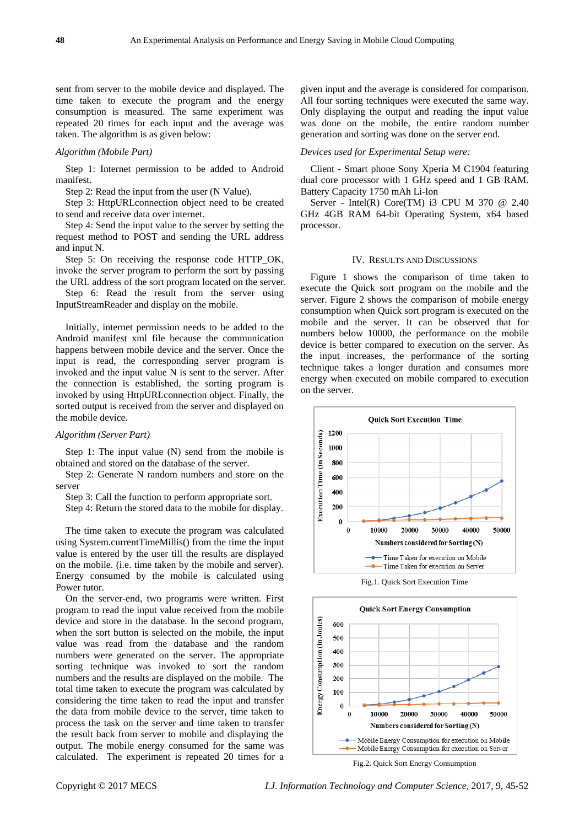sent from server to the mobile device and displayed. The time taken to execute the program and the energy consumption is measured. The same experiment was repeated 20 times for each input and the average was taken. The algorithm is as given below:

#### *Algorithm (Mobile Part)*

Step 1: Internet permission to be added to Android manifest.

Step 2: Read the input from the user (N Value).

Step 3: HttpURLconnection object need to be created to send and receive data over internet.

Step 4: Send the input value to the server by setting the request method to POST and sending the URL address and input N.

Step 5: On receiving the response code HTTP\_OK, invoke the server program to perform the sort by passing the URL address of the sort program located on the server.

Step 6: Read the result from the server using InputStreamReader and display on the mobile.

Initially, internet permission needs to be added to the Android manifest xml file because the communication happens between mobile device and the server. Once the input is read, the corresponding server program is invoked and the input value N is sent to the server. After the connection is established, the sorting program is invoked by using HttpURLconnection object. Finally, the sorted output is received from the server and displayed on the mobile device.

#### *Algorithm (Server Part)*

Step 1: The input value (N) send from the mobile is obtained and stored on the database of the server.

Step 2: Generate N random numbers and store on the server

Step 3: Call the function to perform appropriate sort.

Step 4: Return the stored data to the mobile for display.

The time taken to execute the program was calculated using System.currentTimeMillis() from the time the input value is entered by the user till the results are displayed on the mobile. (i.e. time taken by the mobile and server). Energy consumed by the mobile is calculated using Power tutor.

On the server-end, two programs were written. First program to read the input value received from the mobile device and store in the database. In the second program, when the sort button is selected on the mobile, the input value was read from the database and the random numbers were generated on the server. The appropriate sorting technique was invoked to sort the random numbers and the results are displayed on the mobile. The total time taken to execute the program was calculated by considering the time taken to read the input and transfer the data from mobile device to the server, time taken to process the task on the server and time taken to transfer the result back from server to mobile and displaying the output. The mobile energy consumed for the same was calculated. The experiment is repeated 20 times for a given input and the average is considered for comparison. All four sorting techniques were executed the same way. Only displaying the output and reading the input value was done on the mobile, the entire random number generation and sorting was done on the server end.

#### *Devices used for Experimental Setup were:*

Client - Smart phone Sony Xperia M C1904 featuring dual core processor with 1 GHz speed and 1 GB RAM. Battery Capacity 1750 mAh Li-lon

Server - Intel(R) Core(TM) i3 CPU M 370  $@$  2.40 GHz 4GB RAM 64-bit Operating System, x64 based processor.

#### IV. RESULTS AND DISCUSSIONS

Figure 1 shows the comparison of time taken to execute the Quick sort program on the mobile and the server. Figure 2 shows the comparison of mobile energy consumption when Quick sort program is executed on the mobile and the server. It can be observed that for numbers below 10000, the performance on the mobile device is better compared to execution on the server. As the input increases, the performance of the sorting technique takes a longer duration and consumes more energy when executed on mobile compared to execution on the server.



Fig.1. Quick Sort Execution Time



Fig.2. Quick Sort Energy Consumption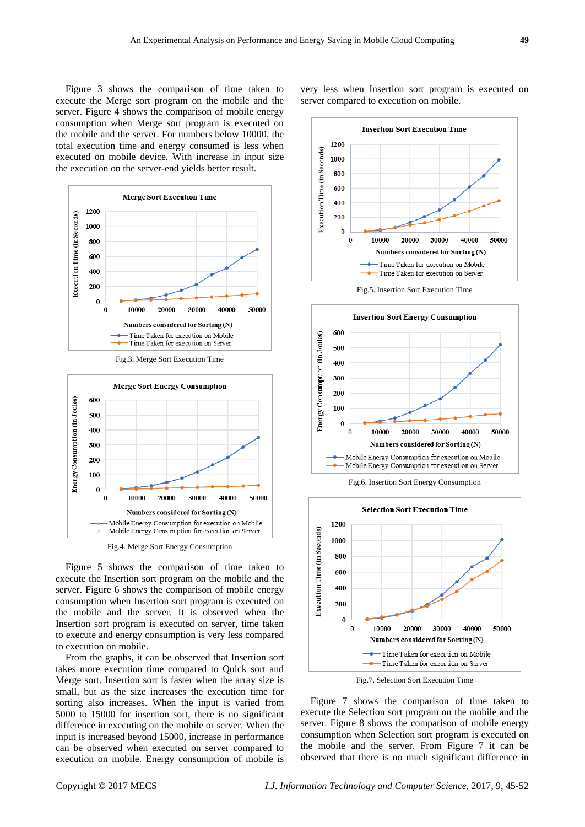Figure 3 shows the comparison of time taken to execute the Merge sort program on the mobile and the server. Figure 4 shows the comparison of mobile energy consumption when Merge sort program is executed on the mobile and the server. For numbers below 10000, the total execution time and energy consumed is less when executed on mobile device. With increase in input size the execution on the server-end yields better result.



Fig.3. Merge Sort Execution Time



Fig.4. Merge Sort Energy Consumption

Figure 5 shows the comparison of time taken to execute the Insertion sort program on the mobile and the server. Figure 6 shows the comparison of mobile energy consumption when Insertion sort program is executed on the mobile and the server. It is observed when the Insertion sort program is executed on server, time taken to execute and energy consumption is very less compared to execution on mobile.

From the graphs, it can be observed that Insertion sort takes more execution time compared to Quick sort and Merge sort. Insertion sort is faster when the array size is small, but as the size increases the execution time for sorting also increases. When the input is varied from 5000 to 15000 for insertion sort, there is no significant difference in executing on the mobile or server. When the input is increased beyond 15000, increase in performance can be observed when executed on server compared to execution on mobile. Energy consumption of mobile is

very less when Insertion sort program is executed on server compared to execution on mobile.









Fig.7. Selection Sort Execution Time

Figure 7 shows the comparison of time taken to execute the Selection sort program on the mobile and the server. Figure 8 shows the comparison of mobile energy consumption when Selection sort program is executed on the mobile and the server. From Figure 7 it can be observed that there is no much significant difference in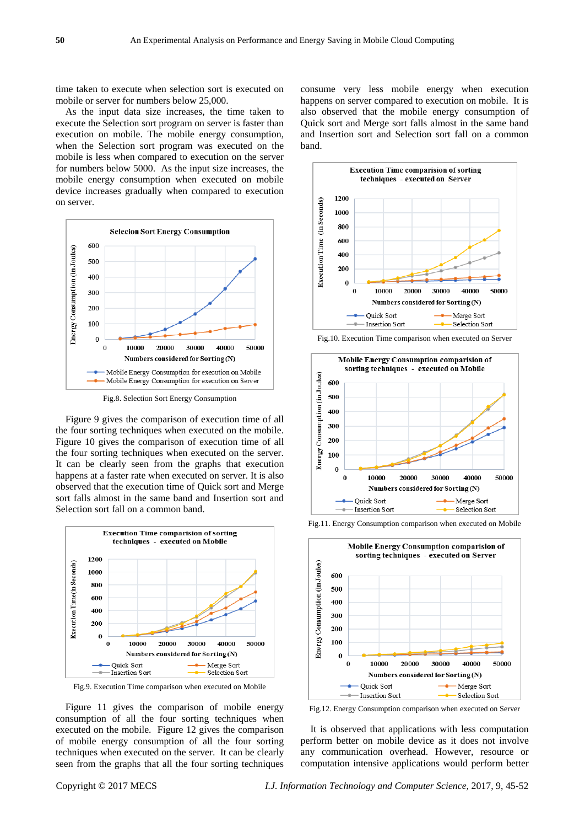time taken to execute when selection sort is executed on mobile or server for numbers below 25,000.

As the input data size increases, the time taken to execute the Selection sort program on server is faster than execution on mobile. The mobile energy consumption, when the Selection sort program was executed on the mobile is less when compared to execution on the server for numbers below 5000. As the input size increases, the mobile energy consumption when executed on mobile device increases gradually when compared to execution on server.



Fig.8. Selection Sort Energy Consumption

Figure 9 gives the comparison of execution time of all the four sorting techniques when executed on the mobile. Figure 10 gives the comparison of execution time of all the four sorting techniques when executed on the server. It can be clearly seen from the graphs that execution happens at a faster rate when executed on server. It is also observed that the execution time of Quick sort and Merge sort falls almost in the same band and Insertion sort and Selection sort fall on a common band.



Fig.9. Execution Time comparison when executed on Mobile

Figure 11 gives the comparison of mobile energy consumption of all the four sorting techniques when executed on the mobile. Figure 12 gives the comparison of mobile energy consumption of all the four sorting techniques when executed on the server. It can be clearly seen from the graphs that all the four sorting techniques consume very less mobile energy when execution happens on server compared to execution on mobile. It is also observed that the mobile energy consumption of Quick sort and Merge sort falls almost in the same band and Insertion sort and Selection sort fall on a common band.



Fig.10. Execution Time comparison when executed on Server



Fig.11. Energy Consumption comparison when executed on Mobile



Fig.12. Energy Consumption comparison when executed on Server

It is observed that applications with less computation perform better on mobile device as it does not involve any communication overhead. However, resource or computation intensive applications would perform better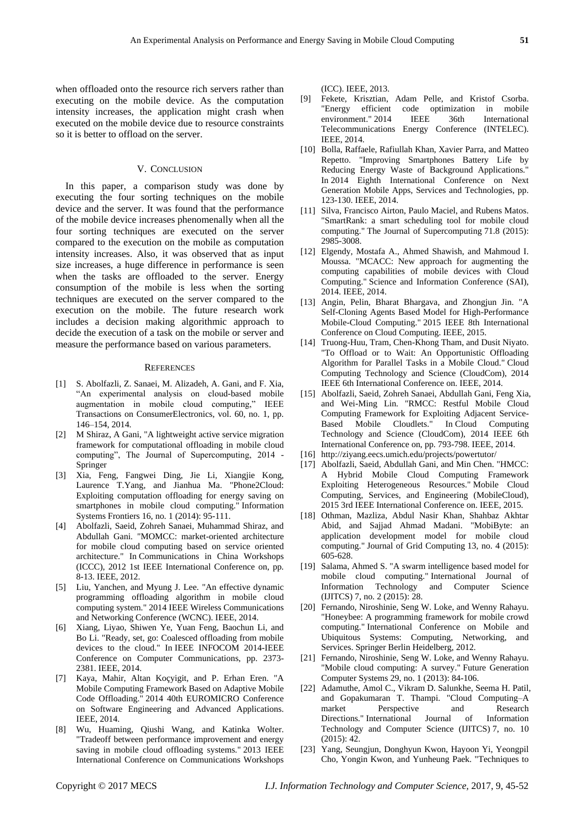when offloaded onto the resource rich servers rather than executing on the mobile device. As the computation intensity increases, the application might crash when executed on the mobile device due to resource constraints so it is better to offload on the server.

## V. CONCLUSION

In this paper, a comparison study was done by executing the four sorting techniques on the mobile device and the server. It was found that the performance of the mobile device increases phenomenally when all the four sorting techniques are executed on the server compared to the execution on the mobile as computation intensity increases. Also, it was observed that as input size increases, a huge difference in performance is seen when the tasks are offloaded to the server. Energy consumption of the mobile is less when the sorting techniques are executed on the server compared to the execution on the mobile. The future research work includes a decision making algorithmic approach to decide the execution of a task on the mobile or server and measure the performance based on various parameters.

#### **REFERENCES**

- [1] S. Abolfazli, Z. Sanaei, M. Alizadeh, A. Gani, and F. Xia, ―An experimental analysis on cloud-based mobile augmentation in mobile cloud computing," IEEE Transactions on ConsumerElectronics, vol. 60, no. 1, pp. 146–154, 2014.
- [2] [M Shiraz,](https://scholar.google.co.in/citations?user=ndguESsAAAAJ&hl=en&oi=sra) [A Gani,](https://scholar.google.co.in/citations?user=5iDbwdsAAAAJ&hl=en&oi=sra) "A lightweight active service migration framework for computational offloading in mobile cloud computing", The Journal of Supercomputing, 2014 -Springer
- [3] Xia, Feng, Fangwei Ding, Jie Li, Xiangjie Kong, Laurence T.Yang, and Jianhua Ma. "Phone2Cloud: Exploiting computation offloading for energy saving on smartphones in mobile cloud computing." Information Systems Frontiers 16, no. 1 (2014): 95-111.
- [4] Abolfazli, Saeid, Zohreh Sanaei, Muhammad Shiraz, and Abdullah Gani. "MOMCC: market-oriented architecture for mobile cloud computing based on service oriented architecture." In Communications in China Workshops (ICCC), 2012 1st IEEE International Conference on, pp. 8-13. IEEE, 2012.
- [5] Liu, Yanchen, and Myung J. Lee. "An effective dynamic programming offloading algorithm in mobile cloud computing system." 2014 IEEE Wireless Communications and Networking Conference (WCNC). IEEE, 2014.
- [6] Xiang, Liyao, Shiwen Ye, Yuan Feng, Baochun Li, and Bo Li. "Ready, set, go: Coalesced offloading from mobile devices to the cloud." In IEEE INFOCOM 2014-IEEE Conference on Computer Communications, pp. 2373- 2381. IEEE, 2014.
- [7] Kaya, Mahir, Altan Koçyigit, and P. Erhan Eren. "A Mobile Computing Framework Based on Adaptive Mobile Code Offloading." 2014 40th EUROMICRO Conference on Software Engineering and Advanced Applications. IEEE, 2014.
- [8] Wu, Huaming, Qiushi Wang, and Katinka Wolter. "Tradeoff between performance improvement and energy saving in mobile cloud offloading systems." 2013 IEEE International Conference on Communications Workshops

(ICC). IEEE, 2013.

- [9] Fekete, Krisztian, Adam Pelle, and Kristof Csorba. "Energy efficient code optimization in mobile environment." 2014 IEEE 36th International Telecommunications Energy Conference (INTELEC). IEEE, 2014.
- [10] Bolla, Raffaele, Rafiullah Khan, Xavier Parra, and Matteo Repetto. "Improving Smartphones Battery Life by Reducing Energy Waste of Background Applications. In 2014 Eighth International Conference on Next Generation Mobile Apps, Services and Technologies, pp. 123-130. IEEE, 2014.
- [11] Silva, Francisco Airton, Paulo Maciel, and Rubens Matos. "SmartRank: a smart scheduling tool for mobile cloud computing." The Journal of Supercomputing 71.8 (2015): 2985-3008.
- [12] Elgendy, Mostafa A., Ahmed Shawish, and Mahmoud I. Moussa. "MCACC: New approach for augmenting the computing capabilities of mobile devices with Cloud Computing." Science and Information Conference (SAI), 2014. IEEE, 2014.
- [13] Angin, Pelin, Bharat Bhargava, and Zhongjun Jin. "A Self-Cloning Agents Based Model for High-Performance Mobile-Cloud Computing." 2015 IEEE 8th International Conference on Cloud Computing. IEEE, 2015.
- [14] Truong-Huu, Tram, Chen-Khong Tham, and Dusit Niyato. "To Offload or to Wait: An Opportunistic Offloading Algorithm for Parallel Tasks in a Mobile Cloud." Cloud Computing Technology and Science (CloudCom), 2014 IEEE 6th International Conference on. IEEE, 2014.
- [15] Abolfazli, Saeid, Zohreh Sanaei, Abdullah Gani, Feng Xia, and Wei-Ming Lin. "RMCC: Restful Mobile Cloud Computing Framework for Exploiting Adjacent Service-Based Mobile Cloudlets." In Cloud Computing Technology and Science (CloudCom), 2014 IEEE 6th International Conference on, pp. 793-798. IEEE, 2014.
- [16] http://ziyang.eecs.umich.edu/projects/powertutor/
- [17] Abolfazli, Saeid, Abdullah Gani, and Min Chen. "HMCC: A Hybrid Mobile Cloud Computing Framework Exploiting Heterogeneous Resources." Mobile Cloud Computing, Services, and Engineering (MobileCloud), 2015 3rd IEEE International Conference on. IEEE, 2015.
- [18] Othman, Mazliza, Abdul Nasir Khan, Shahbaz Akhtar Abid, and Sajjad Ahmad Madani. "MobiByte: an application development model for mobile cloud computing." Journal of Grid Computing 13, no. 4 (2015): 605-628.
- [19] Salama, Ahmed S. "A swarm intelligence based model for mobile cloud computing." International Journal of Information Technology and Computer Science (IJITCS) 7, no. 2 (2015): 28.
- [20] Fernando, Niroshinie, Seng W. Loke, and Wenny Rahayu. "Honeybee: A programming framework for mobile crowd computing." International Conference on Mobile and Ubiquitous Systems: Computing, Networking, and Services. Springer Berlin Heidelberg, 2012.
- [21] Fernando, Niroshinie, Seng W. Loke, and Wenny Rahayu. "Mobile cloud computing: A survey." Future Generation Computer Systems 29, no. 1 (2013): 84-106.
- [22] Adamuthe, Amol C., Vikram D. Salunkhe, Seema H. Patil, and Gopakumaran T. Thampi. "Cloud Computing–A market Perspective and Research Directions." International Journal of Information Technology and Computer Science (IJITCS) 7, no. 10 (2015): 42.
- [23] Yang, Seungjun, Donghyun Kwon, Hayoon Yi, Yeongpil Cho, Yongin Kwon, and Yunheung Paek. "Techniques to